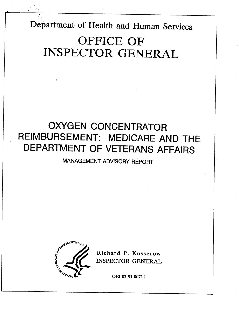Department of Health and Human Services

 $\sim \sim \sim \sim \sim \sim \sim$ 

# OFFICE OF INSPECTOR GENERAL

## OXYGEN CONCENTRATOR REIMBURSEMENT: MEDICARE AND THE DEPARTMENT OF VETERANS AFFAIRS

MANAGEMENT ADVISORY REPORT



Richard P. Kusserow INSPECTOR GENERAL

OEI-03-91-00711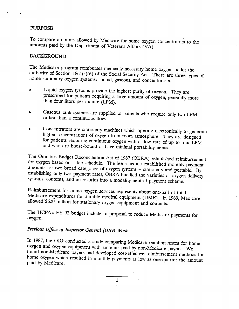## PURPOSE

To compare amounts allowed by Medicare for home oxygen concentrators to the amounts paid by the Department of Veterans Affairs (VA).

## **BACKGROUND**

The Medicare program reimburses medically necessary home oxygen under the authority of Section 1861(s)(6) of the Social Security Act. There are three types of home stationary oxygen systems: liquid, gaseous, and concentrators.

- Liquid oxygen systems provide the highest purity of oxygen. They are prescribed for patients requiring a large amount of oxygen, generally more than four liters per minute (LPM).
- Gaseous tank systems are supplied to patients who require only two LPM rather than a continuous flow.
- Concentrators are stationary machines which operate electronically to generate for patients requiring continuous oxygen with a flow rate of up to four LPM and who are house-bound or have minimal portability needs.

The Omnibus Budget Reconcilation Act of 1987 (OBRA) established reimbursement amounts for two broad categories of oxygen systems -- stationary and portable. By establishing only two payment rates, OBRA bundled the varieties of oxygen delivery systems, contents, and accessories into a modality neutra

Reimbursement for home oxygen services represents about one-half of total Medicare expenditures for durable medical equipment (DME). In 1989, Medicare allowed \$620 million for stationary oxygen equipment and contents.

The HCFA's FY 92 budget includes a proposal to reduce Medicare payments for oxygen.

## Previous Office of Inspector General (OIG) Work

In 1987, the OIG conducted a study comparing Medicare reimbursement for home oxygen and oxygen equipment with amounts paid by non-Medicare payers. We found non-Medicare payers had developed cost-effective reimbursement methods for home oxygen which resulted in monthly payments as low as one-quarter the amount paid by Medicare.

 $\mathbf{1}$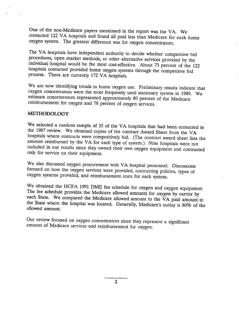One of the non-Medieare payers mentioned in the report was the VA. We contacted 122 VA hospitals and found all paid: less than Medicare for each home oxygen system. The greatest difference was for oxygen concentrators.

The VA hospitals have independent authority to decide whether competitive bid procedures, open market methods, or other alternative services provided by the individual hospital would be the most cost-effective. About 73 percent of the 122 hospitals contacted provided home oxygen systems through the competitive bid process. There are currently 172 VA hospitals.

We are now identifying trends in home oxygen use. Preliminary results indicate that oxygen concentrators were the most frequently used stationary system in 1989. We estimate concentrators represented approximately 80 percent of the Medicare reimbursement for oxygen and 78 percent of oxygen services.

## METHODOLOGY

We selected a random sample of 35 of the VA hospitals that had been contacted in the 1987 review. We obtained copies of the contract Award Sheet from the VA hospitals where contracts were competitively bid. (The contract a amount reimbursed by the VA for each type of system.) Nine hospitals were not included in our results since they owned their own oxygen equipment and contracted only for service on their equipment.

We also discussed oxygen procurement with VA hospital personnel. Discussions focused on how the oxygen services were provided, contracting policies, types of oxygen systems provided, and reimbursement costs for each system.

We obtained the HCFA 1991 DME fee schedule for oxygen and oxygen equipment.<br>The fee schedule provides the Medicare allowed amounts for oxygen by carrier by each State. We compared the Medicare allowed amount to the VA paid amount in the State where the hospital was located. Generally, Medicare's outlay is 80% of the allowed amount.

Our review focused on oxygen concentrators since they represent a significant amount of Medicare services and reimbursement for oxygen.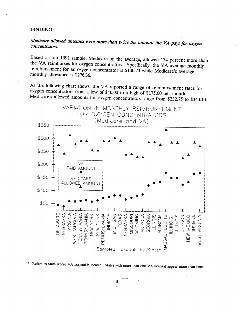#### **FINDING**

## Medicare allowed amounts were more than twice the amount the VA pays for oxygen concentrators.

Based on our 1991 sample, Medicare on the average, allowed 174 percent more than the VA reimburses for oxygen concentrators. Specifically, the VA average monthly reimbursement for an oxygen concentrator is \$100.73 while Medicare's average monthly allowance is \$276.36.

As the following chart shows, the VA reported a range of reimbursement rates for oxygen concentrators from a low of \$40.00 to a high of \$175.00 per month. Medicare's allowed amounts for oxygen concentrators range from \$232.75 to \$340.10.



\* Refers to State where VA hospital is located. States with more than one VA hospital appear more than once.

 $\mathbf{3}$